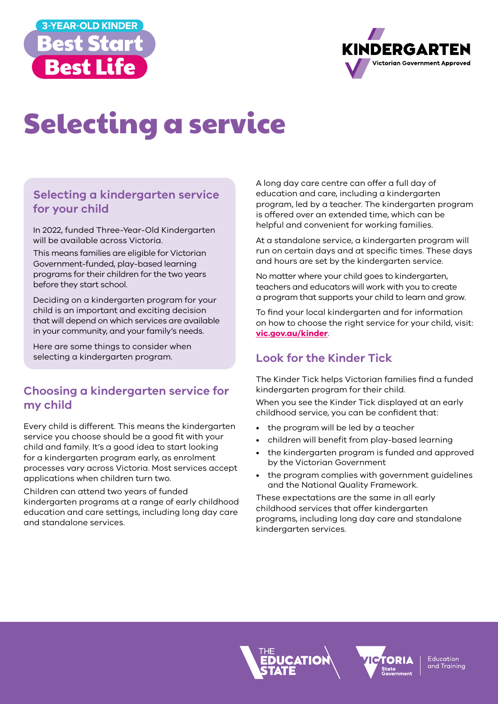



# Selecting a service

## **Selecting a kindergarten service for your child**

In 2022, funded Three-Year-Old Kindergarten will be available across Victoria.

This means families are eligible for Victorian Government-funded, play-based learning programs for their children for the two years before they start school.

Deciding on a kindergarten program for your child is an important and exciting decision that will depend on which services are available in your community, and your family's needs.

Here are some things to consider when selecting a kindergarten program.

#### **Choosing a kindergarten service for my child**

Every child is different. This means the kindergarten service you choose should be a good fit with your child and family. It's a good idea to start looking for a kindergarten program early, as enrolment processes vary across Victoria. Most services accept applications when children turn two.

Children can attend two years of funded kindergarten programs at a range of early childhood education and care settings, including long day care and standalone services.

A long day care centre can offer a full day of education and care, including a kindergarten program, led by a teacher. The kindergarten program is offered over an extended time, which can be helpful and convenient for working families.

At a standalone service, a kindergarten program will run on certain days and at specific times. These days and hours are set by the kindergarten service.

No matter where your child goes to kindergarten, teachers and educators will work with you to create a program that supports your child to learn and grow.

To find your local kindergarten and for information on how to choose the right service for your child, visit: **[vic.gov.au/kinder](http://vic.gov.au/kinder)**.

# **Look for the Kinder Tick**

The Kinder Tick helps Victorian families find a funded kindergarten program for their child.

When you see the Kinder Tick displayed at an early childhood service, you can be confident that:

- the program will be led by a teacher
- children will benefit from play-based learning
- the kindergarten program is funded and approved by the Victorian Government
- the program complies with government guidelines and the National Quality Framework.

These expectations are the same in all early childhood services that offer kindergarten programs, including long day care and standalone kindergarten services.